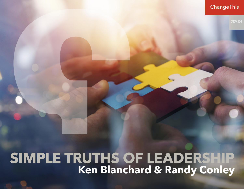**ChangeThis** 

## **SIMPLE TRUTHS OF LEADERSHIP Ken Blanchard & Randy Conley**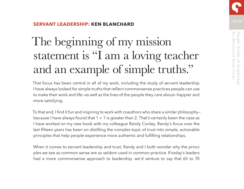### 209.04 **SERVANT LEADERSHIP: KEN BLANCHARD**

# The beginning of my mission statement is "I am a loving teacher and an example of simple truths."

That focus has been central in all of my work, including the study of servant leadership. I have always looked for simple truths that reflect commonsense practices people can use to make their work and life—as well as the lives of the people they care about—happier and more satisfying.

To that end, I find it fun and inspiring to work with coauthors who share a similar philosophy because I have always found that  $1 + 1$  is greater than 2. That's certainly been the case as I have worked on my new book with my colleague Randy Conley. Randy's focus over the last fifteen years has been on distilling the complex topic of trust into simple, actionable principles that help people experience more authentic and fulfilling relationships.

When it comes to servant leadership and trust, Randy and I both wonder why the principles we see as common sense are so seldom used in common practice. If today's leaders had a more commonsense approach to leadership, we'd venture to say that 65 to 70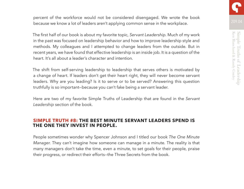percent of the workforce would not be considered disengaged. We wrote the book because we know a lot of leaders aren't applying common sense in the workplace.

The first half of our book is about my favorite topic, *Servant Leadership*. Much of my work in the past was focused on leadership behavior and how to improve leadership style and methods. My colleagues and I attempted to change leaders from the outside. But in recent years, we have found that effective leadership is an inside job. It is a question of the heart. It's all about a leader's character and intention.

The shift from self-serving leadership to leadership that serves others is motivated by a change of heart. If leaders don't get their heart right, they will never become servant leaders. Why are you leading? Is it to serve or to be served? Answering this question truthfully is so important—because you can't fake being a servant leader.

Here are two of my favorite Simple Truths of Leadership that are found in the *Servant Leadership* section of the book.

#### **SIMPLE TRUTH #8: THE BEST MINUTE SERVANT LEADERS SPEND IS THE ONE THEY INVEST IN PEOPLE.**

People sometimes wonder why Spencer Johnson and I titled our book *The One Minute Manager*. They can't imagine how someone can manage in a minute. The reality is that many managers don't take the time, even a minute, to set goals for their people, praise their progress, or redirect their efforts—the Three Secrets from the book.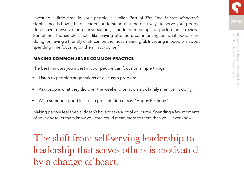209.04 Investing a little time in your people is similar. Part of *The One Minute Manager*'s significance is how it helps leaders understand that the best ways to serve your people don't have to involve long conversations, scheduled meetings, or performance reviews. Sometimes the simplest acts—like paying attention, commenting on what people are doing, or having a friendly chat—can be the most meaningful. Investing in people is about spending time focusing on them, not yourself.

#### **MAKING COMMON SENSE COMMON PRACTICE**

The best minutes you invest in your people can focus on simple things:

- Listen to people's suggestions or discuss a problem.
- Ask people what they did over the weekend or how a sick family member is doing.
- Wish someone good luck on a presentation or say, "Happy Birthday."

Making people feel special doesn't have to take a lot of your time. Spending a few moments of your day to let them know you care could mean more to them than you'll ever know.

The shift from self-serving leadership to leadership that serves others is motivated by a change of heart.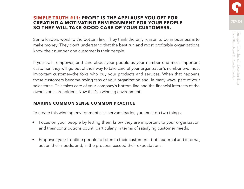#### **SIMPLE TRUTH #11: PROFIT IS THE APPLAUSE YOU GET FOR CREATING A MOTIVATING ENVIRONMENT FOR YOUR PEOPLE SO THEY WILL TAKE GOOD CARE OF YOUR CUSTOMERS.**

Some leaders worship the bottom line. They think the only reason to be in business is to make money. They don't understand that the best run and most profitable organizations know their number one customer is their people.

If you train, empower, and care about your people as your number one most important customer, they will go out of their way to take care of your organization's number two most important customer—the folks who buy your products and services. When that happens, those customers become raving fans of your organization and, in many ways, part of your sales force. This takes care of your company's bottom line and the financial interests of the owners or shareholders. Now that's a winning environment!

#### **MAKING COMMON SENSE COMMON PRACTICE**

To create this winning environment as a servant leader, you must do two things:

- Focus on your people by letting them know they are important to your organization and their contributions count, particularly in terms of satisfying customer needs.
- Empower your frontline people to listen to their customers—both external and internal, act on their needs, and, in the process, exceed their expectations.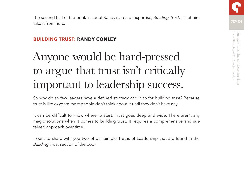

#### **BUILDING TRUST: RANDY CONLEY**

take it from here.

## Anyone would be hard-pressed to argue that trust isn't critically important to leadership success.

So why do so few leaders have a defined strategy and plan for building trust? Because trust is like oxygen: most people don't think about it until they don't have any.

It can be difficult to know where to start. Trust goes deep and wide. There aren't any magic solutions when it comes to building trust. It requires a comprehensive and sustained approach over time.

I want to share with you two of our Simple Truths of Leadership that are found in the *Building Trust* section of the book.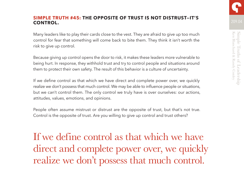#### **SIMPLE TRUTH #45: THE OPPOSITE OF TRUST IS NOT DISTRUST—IT'S CONTROL.**

Many leaders like to play their cards close to the vest. They are afraid to give up too much control for fear that something will come back to bite them. They think it isn't worth the risk to give up control.

Because giving up control opens the door to risk, it makes these leaders more vulnerable to being hurt. In response, they withhold trust and try to control people and situations around them to protect their own safety. The result of this behavior is a culture of uncertainty.

If we define control as that which we have direct and complete power over, we quickly realize we don't possess that much control. We may be able to influence people or situations, but we can't control them. The only control we truly have is over ourselves: our actions, attitudes, values, emotions, and opinions.

People often assume mistrust or distrust are the opposite of trust, but that's not true. Control is the opposite of trust. Are you willing to give up control and trust others?

If we define control as that which we have direct and complete power over, we quickly realize we don't possess that much control.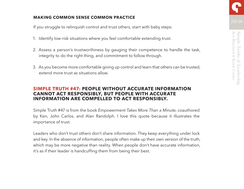#### **MAKING COMMON SENSE COMMON PRACTICE**

If you struggle to relinquish control and trust others, start with baby steps:

- 1. Identify low-risk situations where you feel comfortable extending trust.
- 2. Assess a person's trustworthiness by gauging their competence to handle the task, integrity to do the right thing, and commitment to follow through.
- 3. As you become more comfortable giving up control and learn that others can be trusted, extend more trust as situations allow.

#### **SIMPLE TRUTH #47: PEOPLE WITHOUT ACCURATE INFORMATION CANNOT ACT RESPONSIBLY, BUT PEOPLE WITH ACCURATE INFORMATION ARE COMPELLED TO ACT RESPONSIBLY.**

Simple Truth #47 is from the book *Empowerment Takes More Than a Minute*, coauthored by Ken, John Carlos, and Alan Randolph. I love this quote because it illustrates the importance of trust.

Leaders who don't trust others don't share information. They keep everything under lock and key. In the absence of information, people often make up their own version of the truth, which may be more negative than reality. When people don't have accurate information, it's as if their leader is handcuffing them from being their best.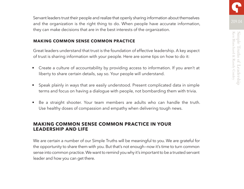209.04 Servant leaders trust their people and realize that openly sharing information about themselves and the organization is the right thing to do. When people have accurate information, they can make decisions that are in the best interests of the organization.

#### **MAKING COMMON SENSE COMMON PRACTICE**

Great leaders understand that trust is the foundation of effective leadership. A key aspect of trust is sharing information with your people. Here are some tips on how to do it:

- Create a culture of accountability by providing access to information. If you aren't at liberty to share certain details, say so. Your people will understand.
- Speak plainly in ways that are easily understood. Present complicated data in simple terms and focus on having a dialogue with people, not bombarding them with trivia.
- Be a straight shooter. Your team members are adults who can handle the truth. Use healthy doses of compassion and empathy when delivering tough news.

#### **MAKING COMMON SENSE COMMON PRACTICE IN YOUR LEADERSHIP AND LIFE**

We are certain a number of our Simple Truths will be meaningful to you. We are grateful for the opportunity to share them with you. But that's not enough—now it's time to turn common sense into common practice. We want to remind you why it's important to be a trusted servant leader and how you can get there.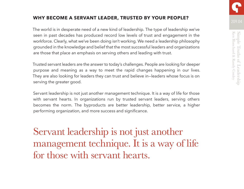### **WHY BECOME A SERVANT LEADER, TRUSTED BY YOUR PEOPLE?** 209.04

The world is in desperate need of a new kind of leadership. The type of leadership we've seen in past decades has produced record low levels of trust and engagement in the workforce. Clearly, what we've been doing isn't working. We need a leadership philosophy grounded in the knowledge and belief that the most successful leaders and organizations are those that place an emphasis on serving others and leading with trust.

Trusted servant leaders are the answer to today's challenges. People are looking for deeper purpose and meaning as a way to meet the rapid changes happening in our lives. They are also looking for leaders they can trust and believe in—leaders whose focus is on serving the greater good.

Servant leadership is not just another management technique. It is a way of life for those with servant hearts. In organizations run by trusted servant leaders, serving others becomes the norm. The byproducts are better leadership, better service, a higher performing organization, and more success and significance.

Servant leadership is not just another management technique. It is a way of life for those with servant hearts.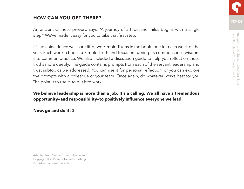#### **HOW CAN YOU GET THERE?**

An ancient Chinese proverb says, "A journey of a thousand miles begins with a single step." We've made it easy for you to take that first step.

It's no coincidence we share fifty-two Simple Truths in the book—one for each week of the year. Each week, choose a Simple Truth and focus on turning its commonsense wisdom into common practice. We also included a discussion guide to help you reflect on these truths more deeply. The guide contains prompts from each of the servant leadership and trust subtopics we addressed. You can use it for personal reflection, or you can explore the prompts with a colleague or your team. Once again, do whatever works best for you. The point is to use it, to put it to work.

#### **We believe leadership is more than a job. It's a calling. We all have a tremendous opportunity—and responsibility—to positively influence everyone we lead.**

**Now, go and do it!**

Adapted from *Simple Truths of Leadership*. Copyright © 2022 by Polversa Publishing. Published by Berrett-Koehler.